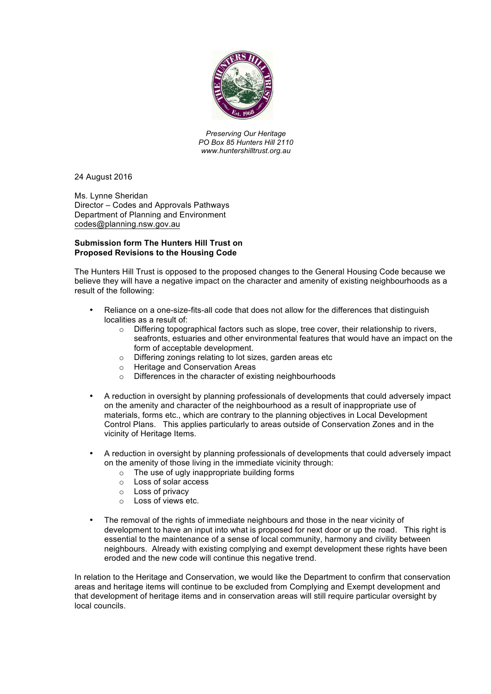

*Preserving Our Heritage PO Box 85 Hunters Hill 2110 www.huntershilltrust.org.au*

24 August 2016

Ms. Lynne Sheridan Director – Codes and Approvals Pathways Department of Planning and Environment codes@planning.nsw.gov.au

## **Submission form The Hunters Hill Trust on Proposed Revisions to the Housing Code**

The Hunters Hill Trust is opposed to the proposed changes to the General Housing Code because we believe they will have a negative impact on the character and amenity of existing neighbourhoods as a result of the following:

- Reliance on a one-size-fits-all code that does not allow for the differences that distinguish localities as a result of:
	- o Differing topographical factors such as slope, tree cover, their relationship to rivers, seafronts, estuaries and other environmental features that would have an impact on the form of acceptable development.
	- o Differing zonings relating to lot sizes, garden areas etc
	- o Heritage and Conservation Areas
	- o Differences in the character of existing neighbourhoods
- A reduction in oversight by planning professionals of developments that could adversely impact on the amenity and character of the neighbourhood as a result of inappropriate use of materials, forms etc., which are contrary to the planning objectives in Local Development Control Plans. This applies particularly to areas outside of Conservation Zones and in the vicinity of Heritage Items.
- A reduction in oversight by planning professionals of developments that could adversely impact on the amenity of those living in the immediate vicinity through:
	- o The use of ugly inappropriate building forms
	- o Loss of solar access
	- o Loss of privacy
	- o Loss of views etc.
- The removal of the rights of immediate neighbours and those in the near vicinity of development to have an input into what is proposed for next door or up the road. This right is essential to the maintenance of a sense of local community, harmony and civility between neighbours. Already with existing complying and exempt development these rights have been eroded and the new code will continue this negative trend.

In relation to the Heritage and Conservation, we would like the Department to confirm that conservation areas and heritage items will continue to be excluded from Complying and Exempt development and that development of heritage items and in conservation areas will still require particular oversight by local councils.